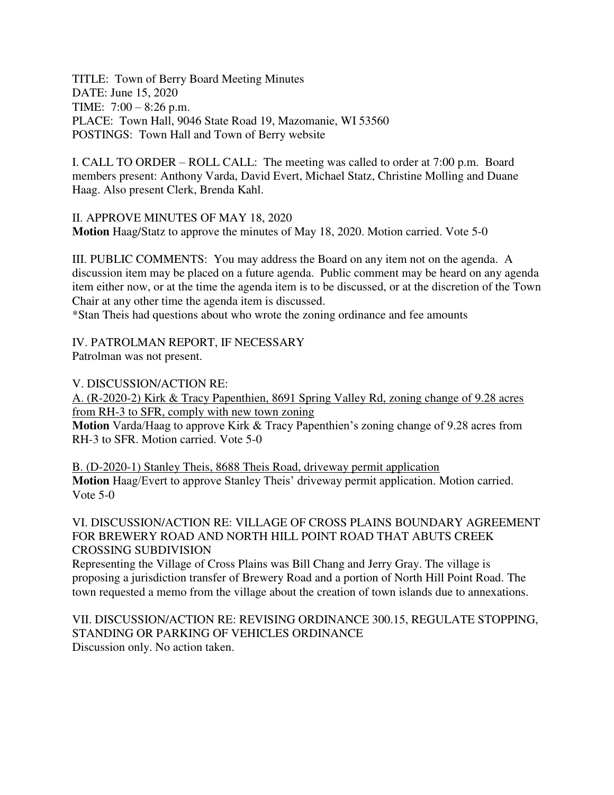TITLE: Town of Berry Board Meeting Minutes DATE: June 15, 2020 TIME: 7:00 – 8:26 p.m. PLACE: Town Hall, 9046 State Road 19, Mazomanie, WI 53560 POSTINGS: Town Hall and Town of Berry website

I. CALL TO ORDER – ROLL CALL: The meeting was called to order at 7:00 p.m. Board members present: Anthony Varda, David Evert, Michael Statz, Christine Molling and Duane Haag. Also present Clerk, Brenda Kahl.

II. APPROVE MINUTES OF MAY 18, 2020 **Motion** Haag/Statz to approve the minutes of May 18, 2020. Motion carried. Vote 5-0

III. PUBLIC COMMENTS: You may address the Board on any item not on the agenda. A discussion item may be placed on a future agenda. Public comment may be heard on any agenda item either now, or at the time the agenda item is to be discussed, or at the discretion of the Town Chair at any other time the agenda item is discussed.

\*Stan Theis had questions about who wrote the zoning ordinance and fee amounts

IV. PATROLMAN REPORT, IF NECESSARY

Patrolman was not present.

V. DISCUSSION/ACTION RE:

A. (R-2020-2) Kirk & Tracy Papenthien, 8691 Spring Valley Rd, zoning change of 9.28 acres from RH-3 to SFR, comply with new town zoning

**Motion** Varda/Haag to approve Kirk & Tracy Papenthien's zoning change of 9.28 acres from RH-3 to SFR. Motion carried. Vote 5-0

B. (D-2020-1) Stanley Theis, 8688 Theis Road, driveway permit application **Motion** Haag/Evert to approve Stanley Theis' driveway permit application. Motion carried. Vote 5-0

## VI. DISCUSSION/ACTION RE: VILLAGE OF CROSS PLAINS BOUNDARY AGREEMENT FOR BREWERY ROAD AND NORTH HILL POINT ROAD THAT ABUTS CREEK CROSSING SUBDIVISION

Representing the Village of Cross Plains was Bill Chang and Jerry Gray. The village is proposing a jurisdiction transfer of Brewery Road and a portion of North Hill Point Road. The town requested a memo from the village about the creation of town islands due to annexations.

VII. DISCUSSION/ACTION RE: REVISING ORDINANCE 300.15, REGULATE STOPPING, STANDING OR PARKING OF VEHICLES ORDINANCE Discussion only. No action taken.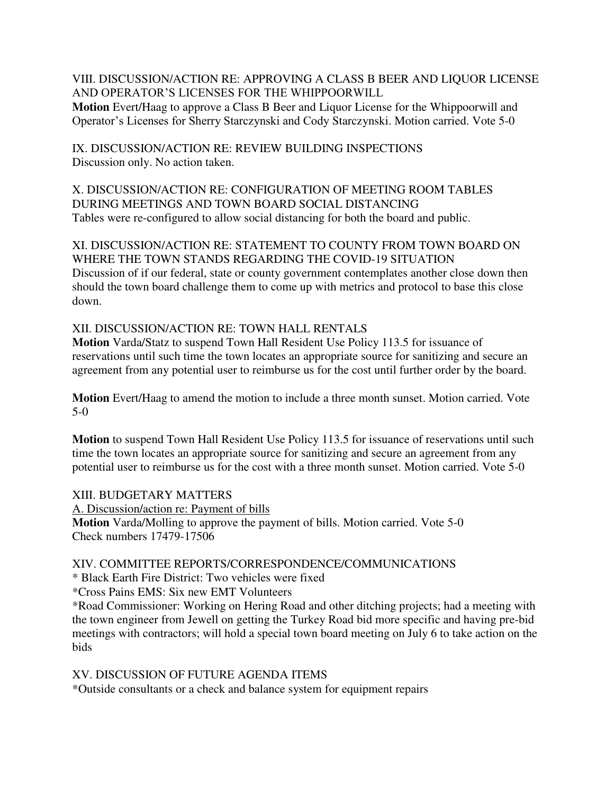VIII. DISCUSSION/ACTION RE: APPROVING A CLASS B BEER AND LIQUOR LICENSE AND OPERATOR'S LICENSES FOR THE WHIPPOORWILL **Motion** Evert/Haag to approve a Class B Beer and Liquor License for the Whippoorwill and Operator's Licenses for Sherry Starczynski and Cody Starczynski. Motion carried. Vote 5-0

IX. DISCUSSION/ACTION RE: REVIEW BUILDING INSPECTIONS Discussion only. No action taken.

X. DISCUSSION/ACTION RE: CONFIGURATION OF MEETING ROOM TABLES DURING MEETINGS AND TOWN BOARD SOCIAL DISTANCING Tables were re-configured to allow social distancing for both the board and public.

XI. DISCUSSION/ACTION RE: STATEMENT TO COUNTY FROM TOWN BOARD ON WHERE THE TOWN STANDS REGARDING THE COVID-19 SITUATION Discussion of if our federal, state or county government contemplates another close down then should the town board challenge them to come up with metrics and protocol to base this close down.

XII. DISCUSSION/ACTION RE: TOWN HALL RENTALS

**Motion** Varda/Statz to suspend Town Hall Resident Use Policy 113.5 for issuance of reservations until such time the town locates an appropriate source for sanitizing and secure an agreement from any potential user to reimburse us for the cost until further order by the board.

**Motion** Evert/Haag to amend the motion to include a three month sunset. Motion carried. Vote 5-0

**Motion** to suspend Town Hall Resident Use Policy 113.5 for issuance of reservations until such time the town locates an appropriate source for sanitizing and secure an agreement from any potential user to reimburse us for the cost with a three month sunset. Motion carried. Vote 5-0

XIII. BUDGETARY MATTERS A. Discussion/action re: Payment of bills **Motion** Varda/Molling to approve the payment of bills. Motion carried. Vote 5-0 Check numbers 17479-17506

## XIV. COMMITTEE REPORTS/CORRESPONDENCE/COMMUNICATIONS

\* Black Earth Fire District: Two vehicles were fixed

\*Cross Pains EMS: Six new EMT Volunteers

\*Road Commissioner: Working on Hering Road and other ditching projects; had a meeting with the town engineer from Jewell on getting the Turkey Road bid more specific and having pre-bid meetings with contractors; will hold a special town board meeting on July 6 to take action on the bids

XV. DISCUSSION OF FUTURE AGENDA ITEMS \*Outside consultants or a check and balance system for equipment repairs